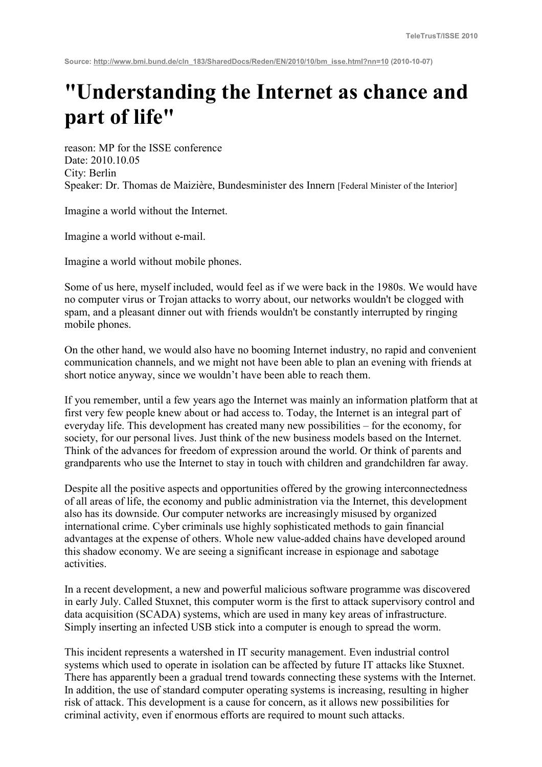## **"Understanding the Internet as chance and part of life"**

reason: MP for the ISSE conference Date: 2010.10.05 City: Berlin Speaker: Dr. Thomas de Maizière, Bundesminister des Innern [Federal Minister of the Interior]

Imagine a world without the Internet.

Imagine a world without e-mail.

Imagine a world without mobile phones.

Some of us here, myself included, would feel as if we were back in the 1980s. We would have no computer virus or Trojan attacks to worry about, our networks wouldn't be clogged with spam, and a pleasant dinner out with friends wouldn't be constantly interrupted by ringing mobile phones.

On the other hand, we would also have no booming Internet industry, no rapid and convenient communication channels, and we might not have been able to plan an evening with friends at short notice anyway, since we wouldn't have been able to reach them.

If you remember, until a few years ago the Internet was mainly an information platform that at first very few people knew about or had access to. Today, the Internet is an integral part of everyday life. This development has created many new possibilities – for the economy, for society, for our personal lives. Just think of the new business models based on the Internet. Think of the advances for freedom of expression around the world. Or think of parents and grandparents who use the Internet to stay in touch with children and grandchildren far away.

Despite all the positive aspects and opportunities offered by the growing interconnectedness of all areas of life, the economy and public administration via the Internet, this development also has its downside. Our computer networks are increasingly misused by organized international crime. Cyber criminals use highly sophisticated methods to gain financial advantages at the expense of others. Whole new value-added chains have developed around this shadow economy. We are seeing a significant increase in espionage and sabotage activities.

In a recent development, a new and powerful malicious software programme was discovered in early July. Called Stuxnet, this computer worm is the first to attack supervisory control and data acquisition (SCADA) systems, which are used in many key areas of infrastructure. Simply inserting an infected USB stick into a computer is enough to spread the worm.

This incident represents a watershed in IT security management. Even industrial control systems which used to operate in isolation can be affected by future IT attacks like Stuxnet. There has apparently been a gradual trend towards connecting these systems with the Internet. In addition, the use of standard computer operating systems is increasing, resulting in higher risk of attack. This development is a cause for concern, as it allows new possibilities for criminal activity, even if enormous efforts are required to mount such attacks.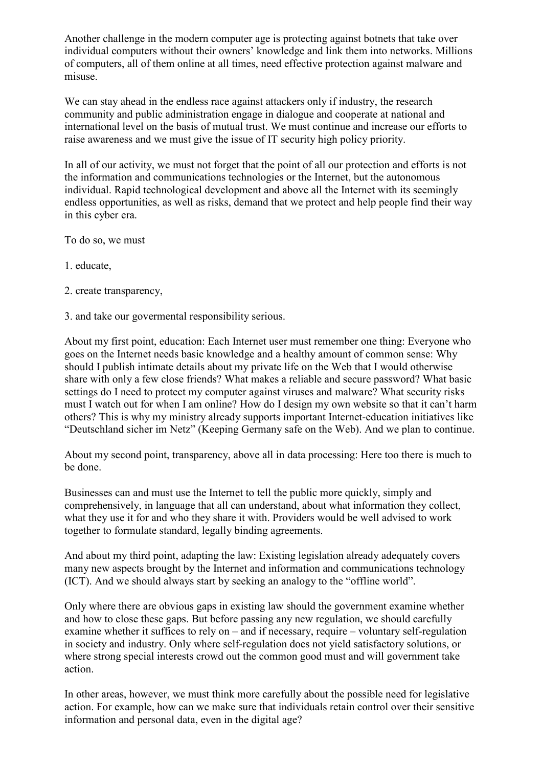Another challenge in the modern computer age is protecting against botnets that take over individual computers without their owners' knowledge and link them into networks. Millions of computers, all of them online at all times, need effective protection against malware and misuse.

We can stay ahead in the endless race against attackers only if industry, the research community and public administration engage in dialogue and cooperate at national and international level on the basis of mutual trust. We must continue and increase our efforts to raise awareness and we must give the issue of IT security high policy priority.

In all of our activity, we must not forget that the point of all our protection and efforts is not the information and communications technologies or the Internet, but the autonomous individual. Rapid technological development and above all the Internet with its seemingly endless opportunities, as well as risks, demand that we protect and help people find their way in this cyber era.

To do so, we must

- 1. educate,
- 2. create transparency,
- 3. and take our govermental responsibility serious.

About my first point, education: Each Internet user must remember one thing: Everyone who goes on the Internet needs basic knowledge and a healthy amount of common sense: Why should I publish intimate details about my private life on the Web that I would otherwise share with only a few close friends? What makes a reliable and secure password? What basic settings do I need to protect my computer against viruses and malware? What security risks must I watch out for when I am online? How do I design my own website so that it can't harm others? This is why my ministry already supports important Internet-education initiatives like "Deutschland sicher im Netz" (Keeping Germany safe on the Web). And we plan to continue.

About my second point, transparency, above all in data processing: Here too there is much to be done.

Businesses can and must use the Internet to tell the public more quickly, simply and comprehensively, in language that all can understand, about what information they collect, what they use it for and who they share it with. Providers would be well advised to work together to formulate standard, legally binding agreements.

And about my third point, adapting the law: Existing legislation already adequately covers many new aspects brought by the Internet and information and communications technology (ICT). And we should always start by seeking an analogy to the "offline world".

Only where there are obvious gaps in existing law should the government examine whether and how to close these gaps. But before passing any new regulation, we should carefully examine whether it suffices to rely on – and if necessary, require – voluntary self-regulation in society and industry. Only where self-regulation does not yield satisfactory solutions, or where strong special interests crowd out the common good must and will government take action.

In other areas, however, we must think more carefully about the possible need for legislative action. For example, how can we make sure that individuals retain control over their sensitive information and personal data, even in the digital age?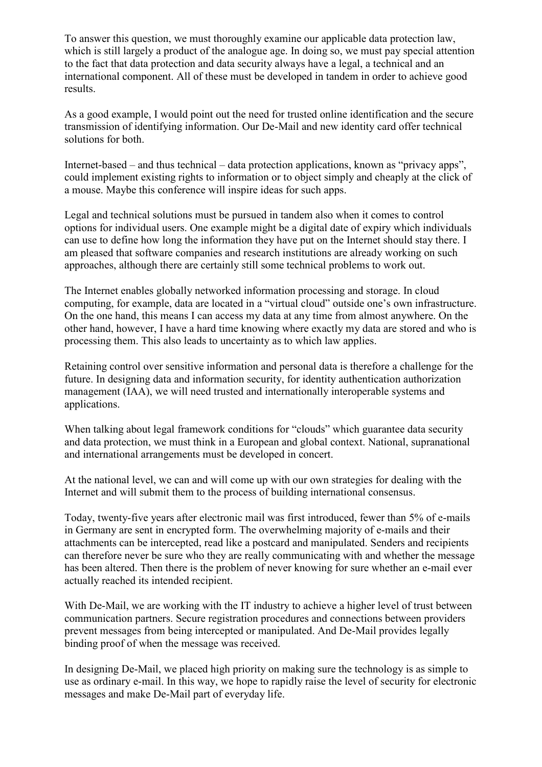To answer this question, we must thoroughly examine our applicable data protection law, which is still largely a product of the analogue age. In doing so, we must pay special attention to the fact that data protection and data security always have a legal, a technical and an international component. All of these must be developed in tandem in order to achieve good results.

As a good example, I would point out the need for trusted online identification and the secure transmission of identifying information. Our De-Mail and new identity card offer technical solutions for both.

Internet-based – and thus technical – data protection applications, known as "privacy apps", could implement existing rights to information or to object simply and cheaply at the click of a mouse. Maybe this conference will inspire ideas for such apps.

Legal and technical solutions must be pursued in tandem also when it comes to control options for individual users. One example might be a digital date of expiry which individuals can use to define how long the information they have put on the Internet should stay there. I am pleased that software companies and research institutions are already working on such approaches, although there are certainly still some technical problems to work out.

The Internet enables globally networked information processing and storage. In cloud computing, for example, data are located in a "virtual cloud" outside one's own infrastructure. On the one hand, this means I can access my data at any time from almost anywhere. On the other hand, however, I have a hard time knowing where exactly my data are stored and who is processing them. This also leads to uncertainty as to which law applies.

Retaining control over sensitive information and personal data is therefore a challenge for the future. In designing data and information security, for identity authentication authorization management (IAA), we will need trusted and internationally interoperable systems and applications.

When talking about legal framework conditions for "clouds" which guarantee data security and data protection, we must think in a European and global context. National, supranational and international arrangements must be developed in concert.

At the national level, we can and will come up with our own strategies for dealing with the Internet and will submit them to the process of building international consensus.

Today, twenty-five years after electronic mail was first introduced, fewer than 5% of e-mails in Germany are sent in encrypted form. The overwhelming majority of e-mails and their attachments can be intercepted, read like a postcard and manipulated. Senders and recipients can therefore never be sure who they are really communicating with and whether the message has been altered. Then there is the problem of never knowing for sure whether an e-mail ever actually reached its intended recipient.

With De-Mail, we are working with the IT industry to achieve a higher level of trust between communication partners. Secure registration procedures and connections between providers prevent messages from being intercepted or manipulated. And De-Mail provides legally binding proof of when the message was received.

In designing De-Mail, we placed high priority on making sure the technology is as simple to use as ordinary e-mail. In this way, we hope to rapidly raise the level of security for electronic messages and make De-Mail part of everyday life.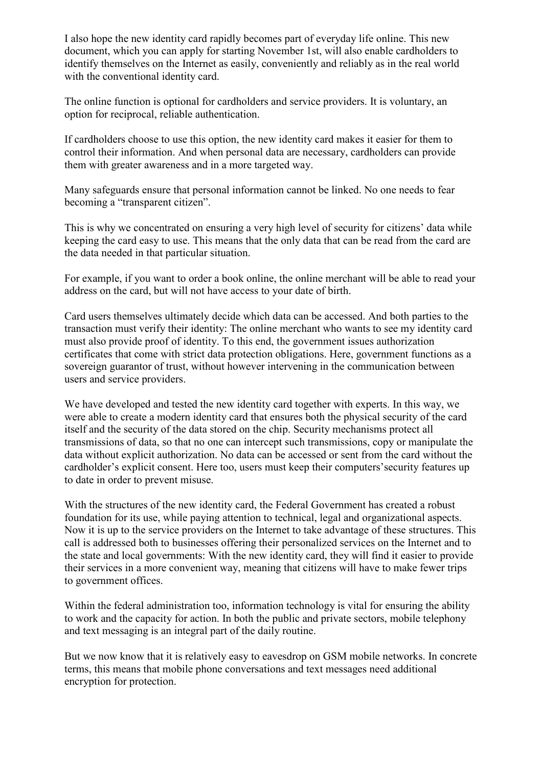I also hope the new identity card rapidly becomes part of everyday life online. This new document, which you can apply for starting November 1st, will also enable cardholders to identify themselves on the Internet as easily, conveniently and reliably as in the real world with the conventional identity card.

The online function is optional for cardholders and service providers. It is voluntary, an option for reciprocal, reliable authentication.

If cardholders choose to use this option, the new identity card makes it easier for them to control their information. And when personal data are necessary, cardholders can provide them with greater awareness and in a more targeted way.

Many safeguards ensure that personal information cannot be linked. No one needs to fear becoming a "transparent citizen".

This is why we concentrated on ensuring a very high level of security for citizens' data while keeping the card easy to use. This means that the only data that can be read from the card are the data needed in that particular situation.

For example, if you want to order a book online, the online merchant will be able to read your address on the card, but will not have access to your date of birth.

Card users themselves ultimately decide which data can be accessed. And both parties to the transaction must verify their identity: The online merchant who wants to see my identity card must also provide proof of identity. To this end, the government issues authorization certificates that come with strict data protection obligations. Here, government functions as a sovereign guarantor of trust, without however intervening in the communication between users and service providers.

We have developed and tested the new identity card together with experts. In this way, we were able to create a modern identity card that ensures both the physical security of the card itself and the security of the data stored on the chip. Security mechanisms protect all transmissions of data, so that no one can intercept such transmissions, copy or manipulate the data without explicit authorization. No data can be accessed or sent from the card without the cardholder's explicit consent. Here too, users must keep their computers'security features up to date in order to prevent misuse.

With the structures of the new identity card, the Federal Government has created a robust foundation for its use, while paying attention to technical, legal and organizational aspects. Now it is up to the service providers on the Internet to take advantage of these structures. This call is addressed both to businesses offering their personalized services on the Internet and to the state and local governments: With the new identity card, they will find it easier to provide their services in a more convenient way, meaning that citizens will have to make fewer trips to government offices.

Within the federal administration too, information technology is vital for ensuring the ability to work and the capacity for action. In both the public and private sectors, mobile telephony and text messaging is an integral part of the daily routine.

But we now know that it is relatively easy to eavesdrop on GSM mobile networks. In concrete terms, this means that mobile phone conversations and text messages need additional encryption for protection.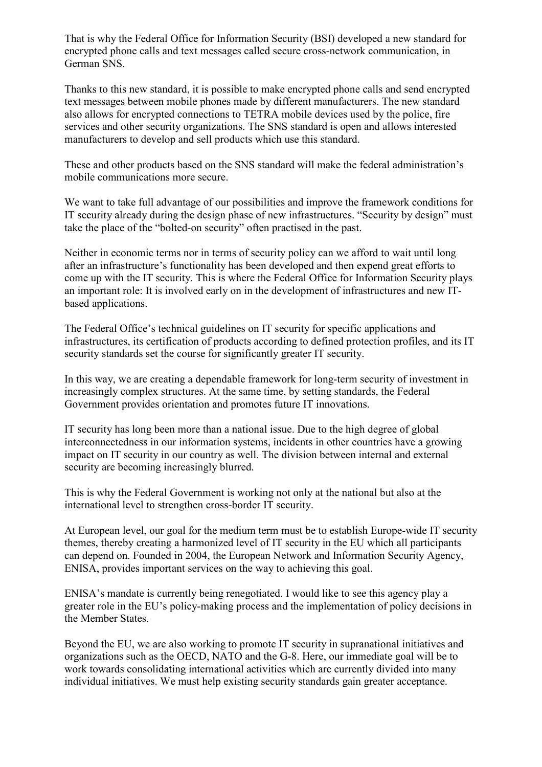That is why the Federal Office for Information Security (BSI) developed a new standard for encrypted phone calls and text messages called secure cross-network communication, in German SNS.

Thanks to this new standard, it is possible to make encrypted phone calls and send encrypted text messages between mobile phones made by different manufacturers. The new standard also allows for encrypted connections to TETRA mobile devices used by the police, fire services and other security organizations. The SNS standard is open and allows interested manufacturers to develop and sell products which use this standard.

These and other products based on the SNS standard will make the federal administration's mobile communications more secure.

We want to take full advantage of our possibilities and improve the framework conditions for IT security already during the design phase of new infrastructures. "Security by design" must take the place of the "bolted-on security" often practised in the past.

Neither in economic terms nor in terms of security policy can we afford to wait until long after an infrastructure's functionality has been developed and then expend great efforts to come up with the IT security. This is where the Federal Office for Information Security plays an important role: It is involved early on in the development of infrastructures and new ITbased applications.

The Federal Office's technical guidelines on IT security for specific applications and infrastructures, its certification of products according to defined protection profiles, and its IT security standards set the course for significantly greater IT security.

In this way, we are creating a dependable framework for long-term security of investment in increasingly complex structures. At the same time, by setting standards, the Federal Government provides orientation and promotes future IT innovations.

IT security has long been more than a national issue. Due to the high degree of global interconnectedness in our information systems, incidents in other countries have a growing impact on IT security in our country as well. The division between internal and external security are becoming increasingly blurred.

This is why the Federal Government is working not only at the national but also at the international level to strengthen cross-border IT security.

At European level, our goal for the medium term must be to establish Europe-wide IT security themes, thereby creating a harmonized level of IT security in the EU which all participants can depend on. Founded in 2004, the European Network and Information Security Agency, ENISA, provides important services on the way to achieving this goal.

ENISA's mandate is currently being renegotiated. I would like to see this agency play a greater role in the EU's policy-making process and the implementation of policy decisions in the Member States.

Beyond the EU, we are also working to promote IT security in supranational initiatives and organizations such as the OECD, NATO and the G-8. Here, our immediate goal will be to work towards consolidating international activities which are currently divided into many individual initiatives. We must help existing security standards gain greater acceptance.